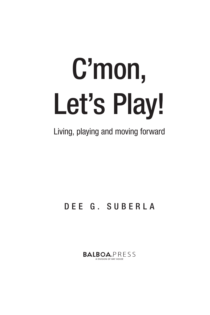# C'mon, Let's Play!

## Living, playing and moving forward

## DEE G. SUBERLA

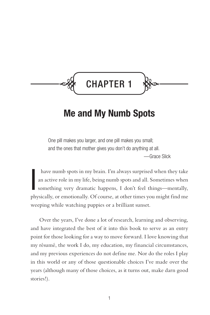

### Me and My Numb Spots

One pill makes you larger, and one pill makes you small; and the ones that mother gives you don't do anything at all. —Grace Slick

In the second contract of the second contract of the second contract of the second contract of the second contract of the second contract of the second contract of the second contract of the second contract of the second c have numb spots in my brain. I'm always surprised when they take an active role in my life, being numb spots and all. Sometimes when something very dramatic happens, I don't feel things—mentally, physically, or emotionally. Of course, at other times you might find me weeping while watching puppies or a brilliant sunset.

Over the years, I've done a lot of research, learning and observing, and have integrated the best of it into this book to serve as an entry point for those looking for a way to move forward. I love knowing that my résumé, the work I do, my education, my financial circumstances, and my previous experiences do not define me. Nor do the roles I play in this world or any of those questionable choices I've made over the years (although many of those choices, as it turns out, make darn good stories!).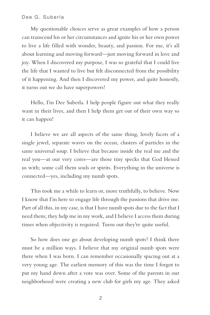#### Dee G. Suberla

My questionable choices serve as great examples of how a person can transcend his or her circumstances and ignite his or her own power to live a life filled with wonder, beauty, and passion. For me, it's all about learning and moving forward—just moving forward in love and joy. When I discovered my purpose, I was so grateful that I could live the life that I wanted to live but felt disconnected from the possibility of it happening. And then I discovered my power, and quite honestly, it turns out we do have superpowers!

Hello, I'm Dee Suberla. I help people figure out what they really want in their lives, and then I help them get out of their own way so it can happen!

I believe we are all aspects of the same thing, lovely facets of a single jewel, separate waves on the ocean, clusters of particles in the same universal soup. I believe that because inside the real me and the real you—at our very cores—are those tiny specks that God blessed us with; some call them souls or spirits. Everything in the universe is connected—yes, including my numb spots.

This took me a while to learn or, more truthfully, to believe. Now I know that I'm here to engage life through the passions that drive me. Part of all this, in my case, is that I have numb spots due to the fact that I need them; they help me in my work, and I believe I access them during times when objectivity is required. Turns out they're quite useful.

So how does one go about developing numb spots? I think there must be a million ways. I believe that my original numb spots were there when I was born. I can remember occasionally spacing out at a very young age. The earliest memory of this was the time I forgot to put my hand down after a vote was over. Some of the parents in our neighborhood were creating a new club for girls my age. They asked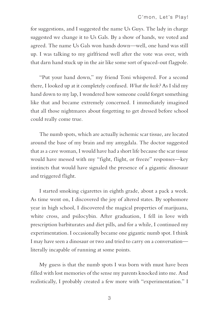for suggestions, and I suggested the name Us Guys. The lady in charge suggested we change it to Us Gals. By a show of hands, we voted and agreed. The name Us Gals won hands down—well, one hand was still up. I was talking to my girlfriend well after the vote was over, with that darn hand stuck up in the air like some sort of spaced-out flagpole.

"Put your hand down," my friend Toni whispered. For a second there, I looked up at it completely confused. *What the heck?* As I slid my hand down to my lap, I wondered how someone could forget something like that and became extremely concerned. I immediately imagined that all those nightmares about forgetting to get dressed before school could really come true.

The numb spots, which are actually ischemic scar tissue, are located around the base of my brain and my amygdala. The doctor suggested that as a cave woman, I would have had a short life because the scar tissue would have messed with my "fight, flight, or freeze" responses—key instincts that would have signaled the presence of a gigantic dinosaur and triggered flight.

I started smoking cigarettes in eighth grade, about a pack a week. As time went on, I discovered the joy of altered states. By sophomore year in high school, I discovered the magical properties of marijuana, white cross, and psilocybin. After graduation, I fell in love with prescription barbiturates and diet pills, and for a while, I continued my experimentation. I occasionally became one gigantic numb spot. I think I may have seen a dinosaur or two and tried to carry on a conversation literally incapable of running at some points.

My guess is that the numb spots I was born with must have been filled with lost memories of the sense my parents knocked into me. And realistically, I probably created a few more with "experimentation." I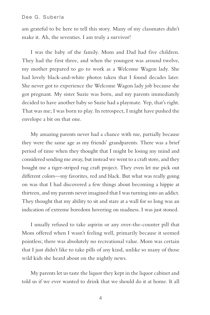#### Dee G. Suberla

am grateful to be here to tell this story. Many of my classmates didn't make it. Ah, the seventies. I am truly a survivor!

I was the baby of the family. Mom and Dad had five children. They had the first three, and when the youngest was around twelve, my mother prepared to go to work as a Welcome Wagon lady. She had lovely black-and-white photos taken that I found decades later. She never got to experience the Welcome Wagon lady job because she got pregnant. My sister Suzie was born, and my parents immediately decided to have another baby so Suzie had a playmate. Yep, that's right. That was me; I was born to play. In retrospect, I might have pushed the envelope a bit on that one.

My amazing parents never had a chance with me, partially because they were the same age as my friends' grandparents. There was a brief period of time when they thought that I might be losing my mind and considered sending me away, but instead we went to a craft store, and they bought me a tiger-striped rug craft project. They even let me pick out different colors—my favorites, red and black. But what was really going on was that I had discovered a few things about becoming a hippie at thirteen, and my parents never imagined that I was turning into an addict. They thought that my ability to sit and stare at a wall for so long was an indication of extreme boredom hovering on madness. I was just stoned.

I usually refused to take aspirin or any over-the-counter pill that Mom offered when I wasn't feeling well, primarily because it seemed pointless; there was absolutely no recreational value. Mom was certain that I just didn't like to take pills of any kind, unlike so many of those wild kids she heard about on the nightly news.

My parents let us taste the liquor they kept in the liquor cabinet and told us if we ever wanted to drink that we should do it at home. It all